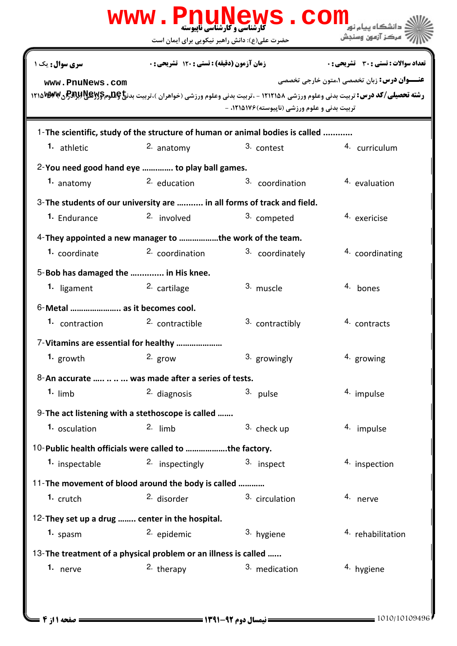|                                                                              |                                                    | WWW.PnuMews.COM                               | دانشگاه سام نور                                                                                                                                                                                              |  |  |
|------------------------------------------------------------------------------|----------------------------------------------------|-----------------------------------------------|--------------------------------------------------------------------------------------------------------------------------------------------------------------------------------------------------------------|--|--|
|                                                                              | حضرت علی(ع): دانش راهبر نیکویی برای ایمان است      |                                               | مركز آزمون وسنجش                                                                                                                                                                                             |  |  |
| <b>سری سوال :</b> یک ۱                                                       | زمان آزمون (دقیقه) : تستی : 120 تشریحی : 0         |                                               | تعداد سوالات : تستي : 30 ٪ تشريحي : 0                                                                                                                                                                        |  |  |
| www.PnuNews.com                                                              |                                                    | تربیت بدنی و علوم ورزشی (ناپیوسته) ۱۲۱۵۱۷۶، - | <b>عنـــوان درس:</b> زبان تخصصي ٥،متون خارجي تخصصي<br><b>رشته تحصیلی/کد درس:</b> تربیت بدنی وعلوم ورزشی ۱۲۱۲۱۵۸ - ،تربیت بدنی وعلوم ورزشی (خواهران )،تربیت بدن <b>خ کِطومگرد پالاپوپالاپوپالاپوپ</b> الاپوپا |  |  |
| 1-The scientific, study of the structure of human or animal bodies is called |                                                    |                                               |                                                                                                                                                                                                              |  |  |
| 1. athletic                                                                  | $2.$ anatomy                                       | 3. contest                                    | 4. curriculum                                                                                                                                                                                                |  |  |
| 2-You need good hand eye  to play ball games.                                |                                                    |                                               |                                                                                                                                                                                                              |  |  |
| 1. anatomy                                                                   | $2.$ education                                     | 3. coordination                               | <sup>4.</sup> evaluation                                                                                                                                                                                     |  |  |
| 3- The students of our university are  in all forms of track and field.      |                                                    |                                               |                                                                                                                                                                                                              |  |  |
| 1. Endurance                                                                 | 2. involved                                        | 3. competed                                   | <sup>4.</sup> exericise                                                                                                                                                                                      |  |  |
| 4- They appointed a new manager to the work of the team.                     |                                                    |                                               |                                                                                                                                                                                                              |  |  |
| 1. coordinate                                                                | 2. coordination                                    | 3. coordinately                               | 4. coordinating                                                                                                                                                                                              |  |  |
| 5-Bob has damaged the  in His knee.                                          |                                                    |                                               |                                                                                                                                                                                                              |  |  |
| 1. ligament                                                                  | <sup>2.</sup> cartilage                            | 3. muscle                                     | 4. bones                                                                                                                                                                                                     |  |  |
| 6-Metal  as it becomes cool.                                                 |                                                    |                                               |                                                                                                                                                                                                              |  |  |
| 1. contraction                                                               | 2. contractible                                    | 3. contractibly                               | 4. contracts                                                                                                                                                                                                 |  |  |
|                                                                              | 7-Vitamins are essential for healthy               |                                               |                                                                                                                                                                                                              |  |  |
| 1. growth                                                                    | 2. $grow$                                          | 3. growingly                                  | 4. growing                                                                                                                                                                                                   |  |  |
| 8-An accurate    was made after a series of tests.                           |                                                    |                                               |                                                                                                                                                                                                              |  |  |
| $1.$ limb                                                                    | 2. diagnosis                                       | 3. pulse                                      | 4. impulse                                                                                                                                                                                                   |  |  |
|                                                                              | 9-The act listening with a stethoscope is called   |                                               |                                                                                                                                                                                                              |  |  |
| 1. osculation                                                                | $2.$ limb                                          | 3. check up                                   | 4. impulse                                                                                                                                                                                                   |  |  |
| 10- Public health officials were called to the factory.                      |                                                    |                                               |                                                                                                                                                                                                              |  |  |
| 1. inspectable                                                               | 2. inspectingly                                    | 3. inspect                                    | 4. inspection                                                                                                                                                                                                |  |  |
|                                                                              | 11-The movement of blood around the body is called |                                               |                                                                                                                                                                                                              |  |  |
| <sup>1.</sup> crutch                                                         | <sup>2.</sup> disorder                             | 3. circulation                                | 4. nerve                                                                                                                                                                                                     |  |  |
|                                                                              | 12-They set up a drug  center in the hospital.     |                                               |                                                                                                                                                                                                              |  |  |
| 1. spasm                                                                     | 2. epidemic                                        | 3. hygiene                                    | 4. rehabilitation                                                                                                                                                                                            |  |  |
| 13- The treatment of a physical problem or an illness is called              |                                                    |                                               |                                                                                                                                                                                                              |  |  |
| 1. nerve                                                                     | <sup>2.</sup> therapy                              | 3. medication                                 | 4. hygiene                                                                                                                                                                                                   |  |  |
|                                                                              |                                                    |                                               |                                                                                                                                                                                                              |  |  |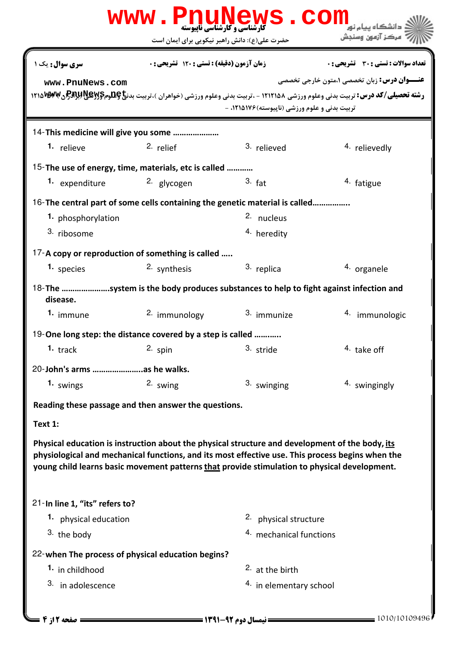|                                                                                                                                                                                                                                                                                                     |                                            | WWW.PnuNews.Com                               |                                                                                                                                                                                                                   |  |  |
|-----------------------------------------------------------------------------------------------------------------------------------------------------------------------------------------------------------------------------------------------------------------------------------------------------|--------------------------------------------|-----------------------------------------------|-------------------------------------------------------------------------------------------------------------------------------------------------------------------------------------------------------------------|--|--|
|                                                                                                                                                                                                                                                                                                     |                                            | حضرت علی(ع): دانش راهبر نیکویی برای ایمان است | <sup>۽</sup> مرڪز آزمون وسنڊش                                                                                                                                                                                     |  |  |
| سری سوال : یک ۱                                                                                                                                                                                                                                                                                     | زمان آزمون (دقیقه) : تستی : 120 تشریحی : 0 |                                               | <b>تعداد سوالات : تستي : 30 ٪ تشريحي : 0</b>                                                                                                                                                                      |  |  |
| www.PnuNews.com                                                                                                                                                                                                                                                                                     |                                            | تربیت بدنی و علوم ورزشی (ناپیوسته) ۱۲۱۵۱۷۶، - | <b>عنـــوان درس:</b> زبان تخصصي ۱،متون خارجي تخصصي<br><b>رشته تحصیلی/کد درس:</b> تربیت بدنی وعلوم ورزشی ۱۲۱۲۱۵۸ - ،تربیت بدنی وعلوم ورزشی (خواهران )،تربیت بدن <b>خ پطلومBAY (BAY) (PAR) (۱۲۱۵ <sup>W</sup> ک</b> |  |  |
| 14-This medicine will give you some                                                                                                                                                                                                                                                                 |                                            |                                               |                                                                                                                                                                                                                   |  |  |
| 1. relieve                                                                                                                                                                                                                                                                                          | 2. relief                                  | 3. relieved                                   | 4. relievedly                                                                                                                                                                                                     |  |  |
| 15-The use of energy, time, materials, etc is called                                                                                                                                                                                                                                                |                                            |                                               |                                                                                                                                                                                                                   |  |  |
| 1. expenditure                                                                                                                                                                                                                                                                                      | <sup>2.</sup> glycogen                     | 3. fat                                        | 4. fatigue                                                                                                                                                                                                        |  |  |
| 16-The central part of some cells containing the genetic material is called                                                                                                                                                                                                                         |                                            |                                               |                                                                                                                                                                                                                   |  |  |
| 1. phosphorylation                                                                                                                                                                                                                                                                                  |                                            | 2. nucleus                                    |                                                                                                                                                                                                                   |  |  |
| 3. ribosome                                                                                                                                                                                                                                                                                         |                                            | <sup>4.</sup> heredity                        |                                                                                                                                                                                                                   |  |  |
| 17-A copy or reproduction of something is called                                                                                                                                                                                                                                                    |                                            |                                               |                                                                                                                                                                                                                   |  |  |
| 1. species                                                                                                                                                                                                                                                                                          | 2. synthesis                               | 3. replica                                    | 4. organele                                                                                                                                                                                                       |  |  |
| 18-The system is the body produces substances to help to fight against infection and<br>disease.                                                                                                                                                                                                    |                                            |                                               |                                                                                                                                                                                                                   |  |  |
| 1. immune                                                                                                                                                                                                                                                                                           | 2. immunology                              | 3. immunize                                   | 4. immunologic                                                                                                                                                                                                    |  |  |
| 19-One long step: the distance covered by a step is called                                                                                                                                                                                                                                          |                                            |                                               |                                                                                                                                                                                                                   |  |  |
|                                                                                                                                                                                                                                                                                                     | 1. track and 2. spin                       | 3. stride                                     | 4. take off                                                                                                                                                                                                       |  |  |
| 20-John's arms  as he walks.                                                                                                                                                                                                                                                                        |                                            |                                               |                                                                                                                                                                                                                   |  |  |
| 1. swings                                                                                                                                                                                                                                                                                           | 2. swing                                   | 3. swinging                                   | 4. swingingly                                                                                                                                                                                                     |  |  |
| Reading these passage and then answer the questions.                                                                                                                                                                                                                                                |                                            |                                               |                                                                                                                                                                                                                   |  |  |
| Text 1:                                                                                                                                                                                                                                                                                             |                                            |                                               |                                                                                                                                                                                                                   |  |  |
| Physical education is instruction about the physical structure and development of the body, its<br>physiological and mechanical functions, and its most effective use. This process begins when the<br>young child learns basic movement patterns that provide stimulation to physical development. |                                            |                                               |                                                                                                                                                                                                                   |  |  |
| 21-In line 1, "its" refers to?                                                                                                                                                                                                                                                                      |                                            |                                               |                                                                                                                                                                                                                   |  |  |
| 1. physical education                                                                                                                                                                                                                                                                               |                                            | 2. physical structure                         |                                                                                                                                                                                                                   |  |  |
| 3. the body                                                                                                                                                                                                                                                                                         |                                            | 4. mechanical functions                       |                                                                                                                                                                                                                   |  |  |
| 22-when The process of physical education begins?                                                                                                                                                                                                                                                   |                                            |                                               |                                                                                                                                                                                                                   |  |  |
| 1. in childhood                                                                                                                                                                                                                                                                                     |                                            | $2.$ at the birth                             |                                                                                                                                                                                                                   |  |  |
| 3. in adolescence                                                                                                                                                                                                                                                                                   |                                            | 4. in elementary school                       |                                                                                                                                                                                                                   |  |  |
| ـــــــــــــــــ صفحه 12ز 4 ـ                                                                                                                                                                                                                                                                      |                                            |                                               | $=$ 1010/10109496                                                                                                                                                                                                 |  |  |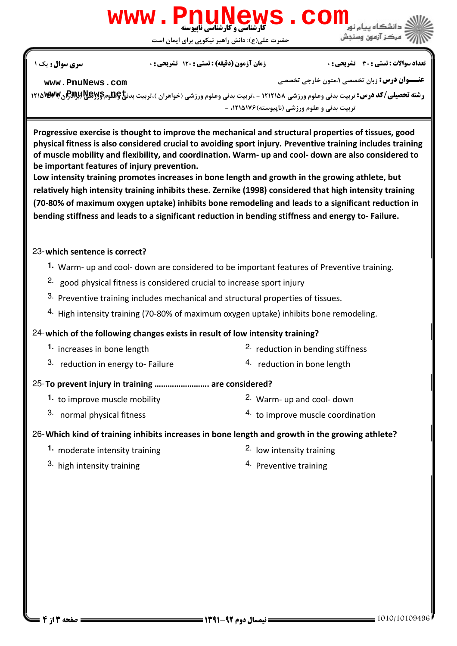# www . PnuN **[www.PnuNews.com](http://pnunews.com)**

لی(ع): دانش راهبر نیکویی برای ایمان است حضرت ع

#### نعداد سوالات : تستي : 30 ٪ تشريحي : . • زمان آزمون (دقيقه) : تستي : 120 ٪ تشريحي : 0 ٪ مسري سوال : يك 1

**[www.PnuNews.com](http://pnunews.com)**

**عنـــوان درس:** زبان تخصصی ۱،متون خارجی تخصصی

ر**شته تحصیلی/کد درس:** تربیت بدنی وعلوم ورزشی ۱۲۱۲۱۵۸ - ،تربیت بدنی وعلوم ورزشی (خواهران )،تربیت بدن**خ کِتترمِگریپBسپر**<br>ر**شته تحصیلی/کد درس:** تربیت بدنی وعلوم ورزشی ۱۲۱۲۱۵۸ - ،تربیت بدنی وعلوم ورزشی (خواهران )،تربیت بدن**خ** نربیت بدنی و علوم ورزشی (ناپیوسته) ۱۲۱۵۱۷۶، -

Progressive exercise is thought to improve the mechanical and structural properties of tissues, good physical fitness is also considered crucial to avoiding sport injury. Preventive training includes training of muscle mobility and flexibility, and coordination. Warm- up and cool- down are also considered to be important features of injury prevention.

Low intensity training promotes increases in bone length and growth in the growing athlete, but relatively high intensity training inhibits these. Zernike (1998) considered that high intensity training (70-80% of maximum oxygen uptake) inhibits bone remodeling and leads to a significant reduction in bending stiffness and leads to a significant reduction in bending stiffness and energy to- Failure.

## 23-which sentence is correct?

- Warm- up and cool- down are considered to be important features of Preventive training. **1.**
- <sup>2.</sup> good physical fitness is considered crucial to increase sport injury
- $3.$  Preventive training includes mechanical and structural properties of tissues.
- 4. High intensity training (70-80% of maximum oxygen uptake) inhibits bone remodeling.

# 24-which of the following changes exists in result of low intensity training?

- $2.$  reduction in bending stiffness **1.** increases in bone length
- <sup>3.</sup> reduction in energy to-Failure  $\frac{4}{1}$  reduction in bone length
- 25-To prevent injury in training ......................... are considered?
	- **1.** to improve muscle mobility **1.** 2. Warm- up and cool- down
	- 3. normal physical fitness
- 
- 4. to improve muscle coordination

## Which kind of training inhibits increases in bone length and growth in the growing athlete? 26-

- **1.** moderate intensity training  $\frac{2}{\pi}$  low intensity training
	-
- $3.$  high intensity training  $\frac{4.1}{2}$  Preventive training
-